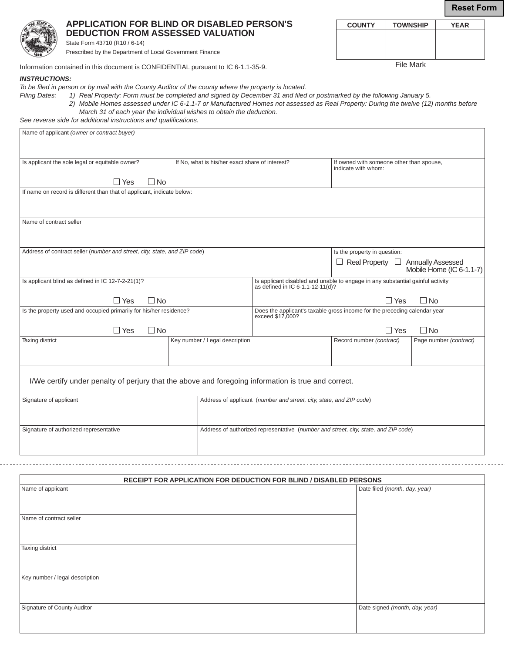**COUNTY TOWNSHIP YEAR**

File Mark

| ۰<br>٠ |
|--------|
|        |
|        |
|        |
|        |
|        |
|        |
|        |
| ؞      |
| 816    |
|        |

**APPLICATION FOR BLIND OR DISABLED PERSON'S DEDUCTION FROM ASSESSED VALUATION** State Form 43710 (R10 / 6-14)

Prescribed by the Department of Local Government Finance

Information contained in this document is CONFIDENTIAL pursuant to IC 6-1.1-35-9.

## *INSTRUCTIONS:*

*To be filed in person or by mail with the County Auditor of the county where the property is located.* 

*Filing Dates: 1) Real Property: Form must be completed and signed by December 31 and filed or postmarked by the following January 5. 2) Mobile Homes assessed under IC 6-1.1-7 or Manufactured Homes not assessed as Real Property: During the twelve (12) months before* 

 *March 31 of each year the individual wishes to obtain the deduction. See reverse side for additional instructions and qualifications.* 

| Name of applicant (owner or contract buyer)                                                                                   |                                                 |                                                                                                                 |                                                                 |                          |  |  |
|-------------------------------------------------------------------------------------------------------------------------------|-------------------------------------------------|-----------------------------------------------------------------------------------------------------------------|-----------------------------------------------------------------|--------------------------|--|--|
|                                                                                                                               |                                                 |                                                                                                                 |                                                                 |                          |  |  |
|                                                                                                                               |                                                 |                                                                                                                 |                                                                 |                          |  |  |
| Is applicant the sole legal or equitable owner?                                                                               | If No, what is his/her exact share of interest? |                                                                                                                 | If owned with someone other than spouse,<br>indicate with whom: |                          |  |  |
| $\Box$ No<br>$\Box$ Yes                                                                                                       |                                                 |                                                                                                                 |                                                                 |                          |  |  |
| If name on record is different than that of applicant, indicate below:                                                        |                                                 |                                                                                                                 |                                                                 |                          |  |  |
|                                                                                                                               |                                                 |                                                                                                                 |                                                                 |                          |  |  |
|                                                                                                                               |                                                 |                                                                                                                 |                                                                 |                          |  |  |
| Name of contract seller                                                                                                       |                                                 |                                                                                                                 |                                                                 |                          |  |  |
|                                                                                                                               |                                                 |                                                                                                                 |                                                                 |                          |  |  |
|                                                                                                                               |                                                 |                                                                                                                 |                                                                 |                          |  |  |
| Address of contract seller (number and street, city, state, and ZIP code)                                                     |                                                 |                                                                                                                 | Is the property in question:                                    |                          |  |  |
|                                                                                                                               |                                                 | $\Box$ Real Property $\Box$ Annually Assessed                                                                   |                                                                 |                          |  |  |
|                                                                                                                               |                                                 |                                                                                                                 |                                                                 | Mobile Home (IC 6-1.1-7) |  |  |
| Is applicant blind as defined in IC 12-7-2-21(1)?                                                                             |                                                 | Is applicant disabled and unable to engage in any substantial gainful activity as defined in IC 6-1.1-12-11(d)? |                                                                 |                          |  |  |
|                                                                                                                               |                                                 |                                                                                                                 |                                                                 |                          |  |  |
| $\Box$ No<br>$\Box$ Yes                                                                                                       |                                                 | $\Box$ No<br>$\Box$ Yes<br>Does the applicant's taxable gross income for the preceding calendar year            |                                                                 |                          |  |  |
| Is the property used and occupied primarily for his/her residence?<br>exceed \$17,000?                                        |                                                 |                                                                                                                 |                                                                 |                          |  |  |
| $\Box$ Yes<br>$\Box$ No                                                                                                       |                                                 | $\Box$ Yes<br>$\Box$ No                                                                                         |                                                                 |                          |  |  |
| Taxing district                                                                                                               | Key number / Legal description                  |                                                                                                                 | Record number (contract)                                        | Page number (contract)   |  |  |
|                                                                                                                               |                                                 |                                                                                                                 |                                                                 |                          |  |  |
|                                                                                                                               |                                                 |                                                                                                                 |                                                                 |                          |  |  |
|                                                                                                                               |                                                 |                                                                                                                 |                                                                 |                          |  |  |
| I/We certify under penalty of perjury that the above and foregoing information is true and correct.                           |                                                 |                                                                                                                 |                                                                 |                          |  |  |
|                                                                                                                               |                                                 |                                                                                                                 |                                                                 |                          |  |  |
| Signature of applicant                                                                                                        |                                                 | Address of applicant (number and street, city, state, and ZIP code)                                             |                                                                 |                          |  |  |
|                                                                                                                               |                                                 |                                                                                                                 |                                                                 |                          |  |  |
|                                                                                                                               |                                                 |                                                                                                                 |                                                                 |                          |  |  |
| Signature of authorized representative<br>Address of authorized representative (number and street, city, state, and ZIP code) |                                                 |                                                                                                                 |                                                                 |                          |  |  |
|                                                                                                                               |                                                 |                                                                                                                 |                                                                 |                          |  |  |
|                                                                                                                               |                                                 |                                                                                                                 |                                                                 |                          |  |  |

| RECEIPT FOR APPLICATION FOR DEDUCTION FOR BLIND / DISABLED PERSONS |                                |  |  |
|--------------------------------------------------------------------|--------------------------------|--|--|
| Name of applicant                                                  | Date filed (month, day, year)  |  |  |
|                                                                    |                                |  |  |
| Name of contract seller                                            |                                |  |  |
|                                                                    |                                |  |  |
| Taxing district                                                    |                                |  |  |
|                                                                    |                                |  |  |
|                                                                    |                                |  |  |
| Key number / legal description                                     |                                |  |  |
|                                                                    |                                |  |  |
| Signature of County Auditor                                        | Date signed (month, day, year) |  |  |
|                                                                    |                                |  |  |
|                                                                    |                                |  |  |